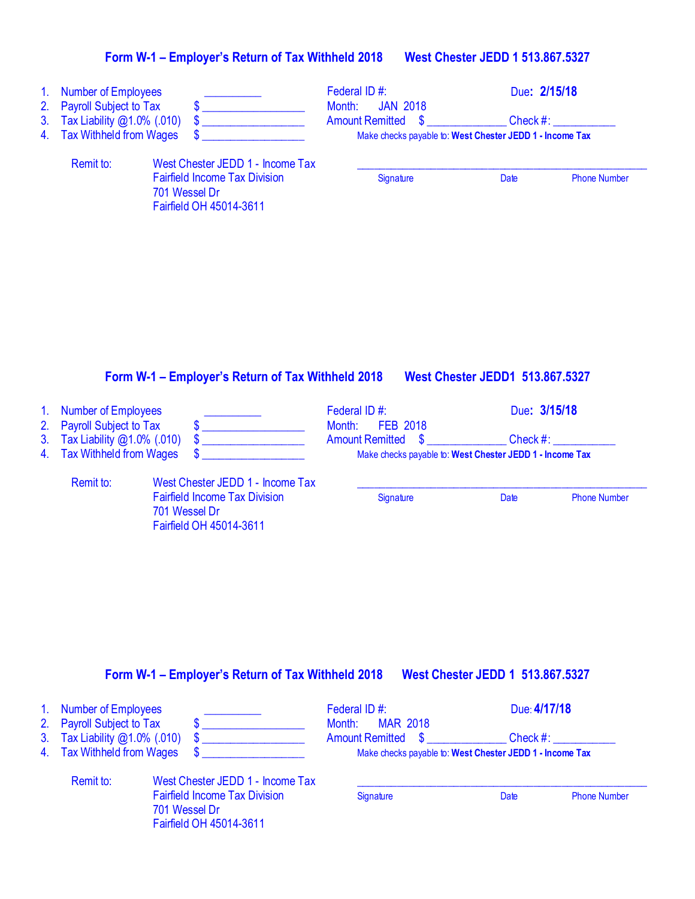| 1. Number of Employees<br>2. Payroll Subject to Tax |                                                                                  | Federal ID#:<br><b>JAN 2018</b><br>Month:                | Due: 2/15/18 |                     |
|-----------------------------------------------------|----------------------------------------------------------------------------------|----------------------------------------------------------|--------------|---------------------|
| 3. Tax Liability $@1.0\%$ (.010)                    |                                                                                  | <b>Amount Remitted</b>                                   | Check $#$ :  |                     |
| 4. Tax Withheld from Wages                          |                                                                                  | Make checks payable to: West Chester JEDD 1 - Income Tax |              |                     |
| Remit to:                                           | West Chester JEDD 1 - Income Tax                                                 |                                                          |              |                     |
|                                                     | <b>Fairfield Income Tax Division</b><br>701 Wessel Dr<br>Fairfield OH 45014-3611 | Signature                                                | Date         | <b>Phone Number</b> |
|                                                     |                                                                                  |                                                          |              |                     |

#### **Form W-1 – Employer's Return of Tax Withheld 2018 West Chester JEDD1 513.867.5327**

701 Wessel Dr

Fairfield OH 45014-3611

| 1. Number of Employees        |                                      | Federal ID#:<br>FEB 2018<br>Month:                       | Due: 3/15/18 |                     |
|-------------------------------|--------------------------------------|----------------------------------------------------------|--------------|---------------------|
| 2. Payroll Subject to Tax     |                                      |                                                          |              |                     |
| 3. Tax Liability @1.0% (.010) |                                      | <b>Amount Remitted \$</b>                                | $Check \#:$  |                     |
| 4. Tax Withheld from Wages    |                                      | Make checks payable to: West Chester JEDD 1 - Income Tax |              |                     |
| Remit to:                     | West Chester JEDD 1 - Income Tax     |                                                          |              |                     |
|                               | <b>Fairfield Income Tax Division</b> | Signature                                                | Date         | <b>Phone Number</b> |

# **Form W-1 – Employer's Return of Tax Withheld 2018 West Chester JEDD 1 513.867.5327**

| 1. Number of Employees           |                                                                                  | Federal ID#:                                             | Due: 4/17/18 |                     |
|----------------------------------|----------------------------------------------------------------------------------|----------------------------------------------------------|--------------|---------------------|
| 2. Payroll Subject to Tax        |                                                                                  | <b>MAR 2018</b><br>Month:                                |              |                     |
| 3. Tax Liability $@1.0\%$ (.010) |                                                                                  | Amount Remitted \$                                       | Check #:     |                     |
| 4. Tax Withheld from Wages       |                                                                                  | Make checks payable to: West Chester JEDD 1 - Income Tax |              |                     |
| Remit to:                        | West Chester JEDD 1 - Income Tax                                                 |                                                          |              |                     |
|                                  | <b>Fairfield Income Tax Division</b><br>701 Wessel Dr<br>Fairfield OH 45014-3611 | Signature                                                | Date         | <b>Phone Number</b> |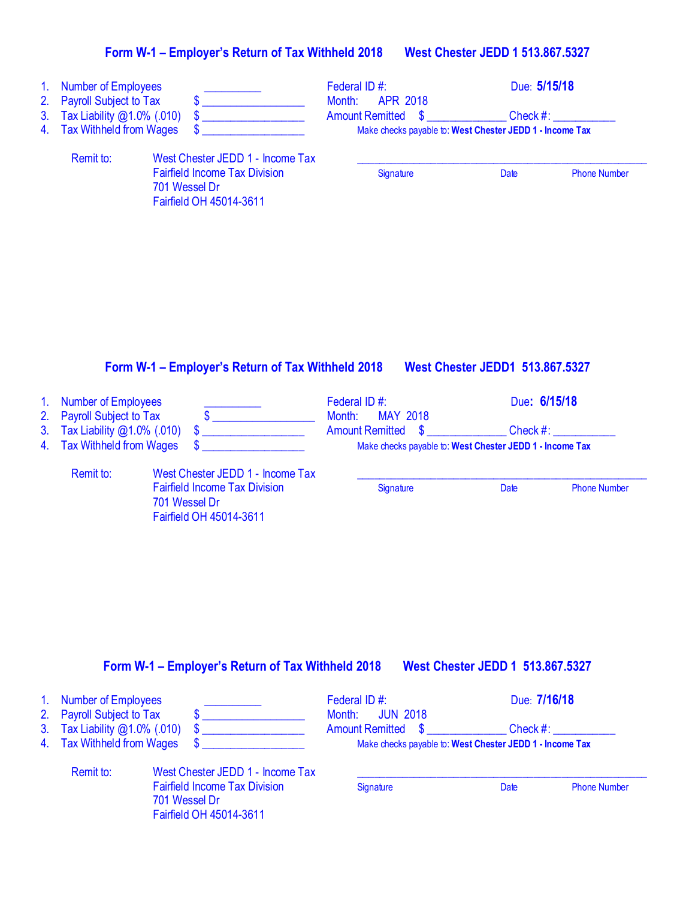| 1.<br>2.<br>3.<br>4. | <b>Number of Employees</b><br><b>Payroll Subject to Tax</b><br>Tax Liability @1.0% (.010)<br><b>Tax Withheld from Wages</b> | $\boldsymbol{\mathsf{s}}$<br>$\mathbf{\$}$<br>\$                                                                     | Federal ID#:<br>Month:<br><b>APR 2018</b><br><b>Amount Remitted</b><br>$\boldsymbol{\mathsf{S}}$ | Due: 5/15/18<br>Check #:<br>Make checks payable to: West Chester JEDD 1 - Income Tax |  |
|----------------------|-----------------------------------------------------------------------------------------------------------------------------|----------------------------------------------------------------------------------------------------------------------|--------------------------------------------------------------------------------------------------|--------------------------------------------------------------------------------------|--|
|                      | Remit to:                                                                                                                   | West Chester JEDD 1 - Income Tax<br><b>Fairfield Income Tax Division</b><br>701 Wessel Dr<br>Fairfield OH 45014-3611 | Signature                                                                                        | Date<br><b>Phone Number</b>                                                          |  |
| $\mathbf{1}$ .<br>2. | <b>Number of Employees</b><br><b>Payroll Subject to Tax</b><br>Tax Liability @1.0% (.010)                                   | Form W-1 - Employer's Return of Tax Withheld 2018                                                                    | Federal ID#:<br>Month:<br><b>MAY 2018</b>                                                        | <b>West Chester JEDD1 513.867.5327</b><br>Due: 6/15/18                               |  |

# **Form W-1 – Employer's Return of Tax Withheld 2018 West Chester JEDD 1 513.867.5327**

| 1. Number of Employees        |                                      | Federal ID#:       | Due: 7/16/18                                             |                     |
|-------------------------------|--------------------------------------|--------------------|----------------------------------------------------------|---------------------|
| 2. Payroll Subject to Tax     |                                      | Month: JUN 2018    |                                                          |                     |
| 3. Tax Liability @1.0% (.010) |                                      | Amount Remitted \$ | Check #:                                                 |                     |
| 4. Tax Withheld from Wages    |                                      |                    | Make checks payable to: West Chester JEDD 1 - Income Tax |                     |
| Remit to:                     | West Chester JEDD 1 - Income Tax     |                    |                                                          |                     |
|                               | <b>Fairfield Income Tax Division</b> | Signature          | Date                                                     | <b>Phone Number</b> |
|                               | 701 Wessel Dr                        |                    |                                                          |                     |

Fairfield OH 45014-3611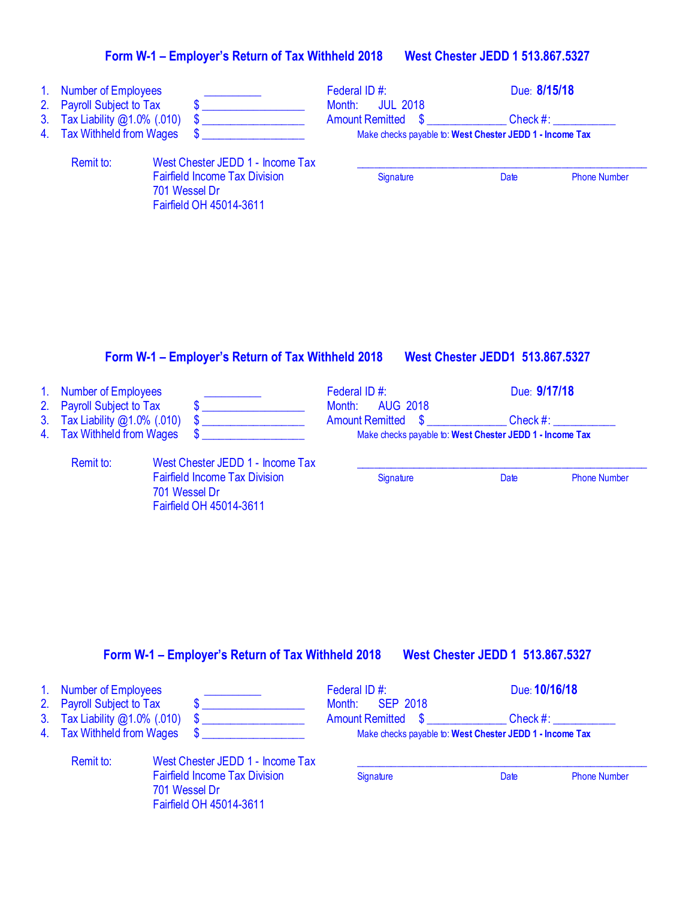| 1.<br>2.<br>3 <sub>1</sub><br>4. | <b>Number of Employees</b><br><b>Payroll Subject to Tax</b><br>Tax Liability @1.0% (.010)<br><b>Tax Withheld from Wages</b> | \$<br>\$                                                                                                             | Federal ID#:<br><b>JUL 2018</b><br>Month:<br><b>Amount Remitted</b><br>S             | Due: 8/15/18<br>$Check$ #:<br>Make checks payable to: West Chester JEDD 1 - Income Tax  |  |
|----------------------------------|-----------------------------------------------------------------------------------------------------------------------------|----------------------------------------------------------------------------------------------------------------------|--------------------------------------------------------------------------------------|-----------------------------------------------------------------------------------------|--|
|                                  | Remit to:                                                                                                                   | West Chester JEDD 1 - Income Tax<br><b>Fairfield Income Tax Division</b><br>701 Wessel Dr<br>Fairfield OH 45014-3611 | Signature                                                                            | Date<br><b>Phone Number</b>                                                             |  |
|                                  |                                                                                                                             | Form W-1 – Employer's Return of Tax Withheld 2018                                                                    |                                                                                      | <b>West Chester JEDD1 513.867.5327</b>                                                  |  |
| 1 <sub>1</sub><br>2.<br>3.<br>4. | <b>Number of Employees</b><br><b>Payroll Subject to Tax</b><br>Tax Liability @1.0% (.010)<br><b>Tax Withheld from Wages</b> | \$<br>\$                                                                                                             | Federal ID#:<br><b>AUG 2018</b><br>Month:<br><b>Amount Remitted</b><br>$\mathbf{\$}$ | Due: 9/17/18<br>Check $#$ :<br>Make checks payable to: West Chester JEDD 1 - Income Tax |  |

**Form W-1 – Employer's Return of Tax Withheld 2018 West Chester JEDD 1 513.867.5327**

Fairfield Income Tax Division Signature Signature Date Phone Number

Remit to: West Chester JEDD 1 - Income Tax

Fairfield OH 45014-3611

701 Wessel Dr

|  | 1. Number of Employees<br>2. Payroll Subject to Tax |                                                                                  | Federal ID#:<br>Month: SEP 2018                          | Due: 10/16/18 |                     |
|--|-----------------------------------------------------|----------------------------------------------------------------------------------|----------------------------------------------------------|---------------|---------------------|
|  | 3. Tax Liability @1.0% (.010)                       |                                                                                  | <b>Amount Remitted \$</b>                                | Check #:      |                     |
|  | 4. Tax Withheld from Wages                          |                                                                                  | Make checks payable to: West Chester JEDD 1 - Income Tax |               |                     |
|  | Remit to:                                           | West Chester JEDD 1 - Income Tax                                                 |                                                          |               |                     |
|  |                                                     | <b>Fairfield Income Tax Division</b><br>701 Wessel Dr<br>Fairfield OH 45014-3611 | Signature                                                | Date          | <b>Phone Number</b> |